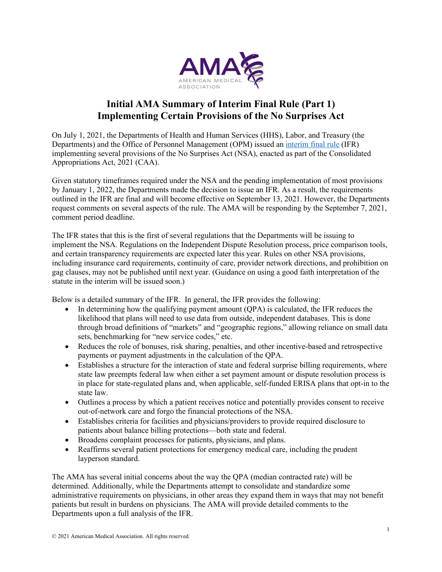

# **Initial AMA Summary of Interim Final Rule (Part 1) Implementing Certain Provisions of the No Surprises Act**

On July 1, 2021, the Departments of Health and Human Services (HHS), Labor, and Treasury (the Departments) and the Office of Personnel Management (OPM) issued an [interim final rule](http://govinfo.gov/content/pkg/FR-2021-07-13/pdf/2021-14379.pdf) (IFR) implementing several provisions of the No Surprises Act (NSA), enacted as part of the Consolidated Appropriations Act, 2021 (CAA).

Given statutory timeframes required under the NSA and the pending implementation of most provisions by January 1, 2022, the Departments made the decision to issue an IFR. As a result, the requirements outlined in the IFR are final and will become effective on September 13, 2021. However, the Departments request comments on several aspects of the rule. The AMA will be responding by the September 7, 2021, comment period deadline.

The IFR states that this is the first of several regulations that the Departments will be issuing to implement the NSA. Regulations on the Independent Dispute Resolution process, price comparison tools, and certain transparency requirements are expected later this year. Rules on other NSA provisions, including insurance card requirements, continuity of care, provider network directions, and prohibition on gag clauses, may not be published until next year. (Guidance on using a good faith interpretation of the statute in the interim will be issued soon.)

Below is a detailed summary of the IFR. In general, the IFR provides the following:

- In determining how the qualifying payment amount (QPA) is calculated, the IFR reduces the likelihood that plans will need to use data from outside, independent databases. This is done through broad definitions of "markets" and "geographic regions," allowing reliance on small data sets, benchmarking for "new service codes," etc.
- Reduces the role of bonuses, risk sharing, penalties, and other incentive-based and retrospective payments or payment adjustments in the calculation of the QPA.
- Establishes a structure for the interaction of state and federal surprise billing requirements, where state law preempts federal law when either a set payment amount or dispute resolution process is in place for state-regulated plans and, when applicable, self-funded ERISA plans that opt-in to the state law.
- Outlines a process by which a patient receives notice and potentially provides consent to receive out-of-network care and forgo the financial protections of the NSA.
- Establishes criteria for facilities and physicians/providers to provide required disclosure to patients about balance billing protections—both state and federal.
- Broadens complaint processes for patients, physicians, and plans.
- Reaffirms several patient protections for emergency medical care, including the prudent layperson standard.

The AMA has several initial concerns about the way the QPA (median contracted rate) will be determined. Additionally, while the Departments attempt to consolidate and standardize some administrative requirements on physicians, in other areas they expand them in ways that may not benefit patients but result in burdens on physicians. The AMA will provide detailed comments to the Departments upon a full analysis of the IFR.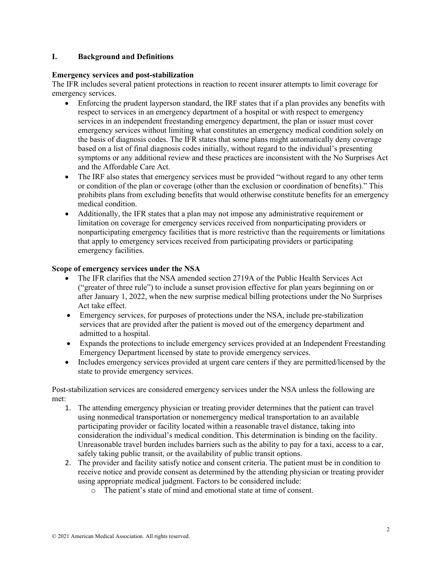## **I. Background and Definitions**

## **Emergency services and post-stabilization**

The IFR includes several patient protections in reaction to recent insurer attempts to limit coverage for emergency services.

- Enforcing the prudent layperson standard, the IRF states that if a plan provides any benefits with respect to services in an emergency department of a hospital or with respect to emergency services in an independent freestanding emergency department, the plan or issuer must cover emergency services without limiting what constitutes an emergency medical condition solely on the basis of diagnosis codes. The IFR states that some plans might automatically deny coverage based on a list of final diagnosis codes initially, without regard to the individual's presenting symptoms or any additional review and these practices are inconsistent with the No Surprises Act and the Affordable Care Act.
- The IRF also states that emergency services must be provided "without regard to any other term or condition of the plan or coverage (other than the exclusion or coordination of benefits)." This prohibits plans from excluding benefits that would otherwise constitute benefits for an emergency medical condition.
- Additionally, the IFR states that a plan may not impose any administrative requirement or limitation on coverage for emergency services received from nonparticipating providers or nonparticipating emergency facilities that is more restrictive than the requirements or limitations that apply to emergency services received from participating providers or participating emergency facilities.

# **Scope of emergency services under the NSA**

- The IFR clarifies that the NSA amended section 2719A of the Public Health Services Act ("greater of three rule") to include a sunset provision effective for plan years beginning on or after January 1, 2022, when the new surprise medical billing protections under the No Surprises Act take effect.
- Emergency services, for purposes of protections under the NSA, include pre-stabilization services that are provided after the patient is moved out of the emergency department and admitted to a hospital.
- Expands the protections to include emergency services provided at an Independent Freestanding Emergency Department licensed by state to provide emergency services.
- Includes emergency services provided at urgent care centers if they are permitted/licensed by the state to provide emergency services.

Post-stabilization services are considered emergency services under the NSA unless the following are met:

- 1. The attending emergency physician or treating provider determines that the patient can travel using nonmedical transportation or nonemergency medical transportation to an available participating provider or facility located within a reasonable travel distance, taking into consideration the individual's medical condition. This determination is binding on the facility. Unreasonable travel burden includes barriers such as the ability to pay for a taxi, access to a car, safely taking public transit, or the availability of public transit options.
- 2. The provider and facility satisfy notice and consent criteria. The patient must be in condition to receive notice and provide consent as determined by the attending physician or treating provider using appropriate medical judgment. Factors to be considered include:
	- o The patient's state of mind and emotional state at time of consent.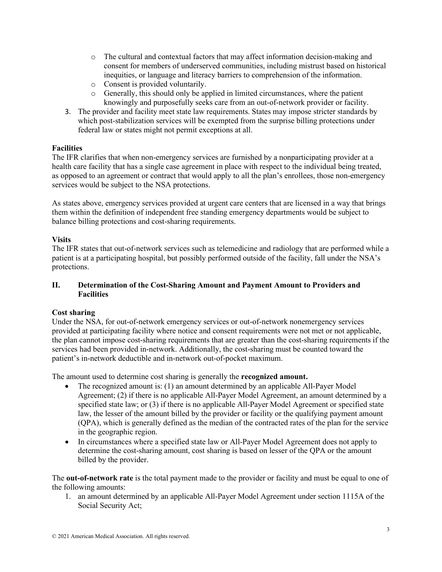- o The cultural and contextual factors that may affect information decision-making and consent for members of underserved communities, including mistrust based on historical inequities, or language and literacy barriers to comprehension of the information.
- o Consent is provided voluntarily.
- o Generally, this should only be applied in limited circumstances, where the patient knowingly and purposefully seeks care from an out-of-network provider or facility.
- 3. The provider and facility meet state law requirements. States may impose stricter standards by which post-stabilization services will be exempted from the surprise billing protections under federal law or states might not permit exceptions at all.

# **Facilities**

The IFR clarifies that when non-emergency services are furnished by a nonparticipating provider at a health care facility that has a single case agreement in place with respect to the individual being treated, as opposed to an agreement or contract that would apply to all the plan's enrollees, those non-emergency services would be subject to the NSA protections.

As states above, emergency services provided at urgent care centers that are licensed in a way that brings them within the definition of independent free standing emergency departments would be subject to balance billing protections and cost-sharing requirements.

# **Visits**

The IFR states that out-of-network services such as telemedicine and radiology that are performed while a patient is at a participating hospital, but possibly performed outside of the facility, fall under the NSA's protections.

# **II. Determination of the Cost-Sharing Amount and Payment Amount to Providers and Facilities**

# **Cost sharing**

Under the NSA, for out-of-network emergency services or out-of-network nonemergency services provided at participating facility where notice and consent requirements were not met or not applicable, the plan cannot impose cost-sharing requirements that are greater than the cost-sharing requirements if the services had been provided in-network. Additionally, the cost-sharing must be counted toward the patient's in-network deductible and in-network out-of-pocket maximum.

The amount used to determine cost sharing is generally the **recognized amount.**

- The recognized amount is: (1) an amount determined by an applicable All-Payer Model Agreement; (2) if there is no applicable All-Payer Model Agreement, an amount determined by a specified state law; or (3) if there is no applicable All-Payer Model Agreement or specified state law, the lesser of the amount billed by the provider or facility or the qualifying payment amount (QPA), which is generally defined as the median of the contracted rates of the plan for the service in the geographic region.
- In circumstances where a specified state law or All-Payer Model Agreement does not apply to determine the cost-sharing amount, cost sharing is based on lesser of the QPA or the amount billed by the provider.

The **out-of-network rate** is the total payment made to the provider or facility and must be equal to one of the following amounts:

1. an amount determined by an applicable All-Payer Model Agreement under section 1115A of the Social Security Act;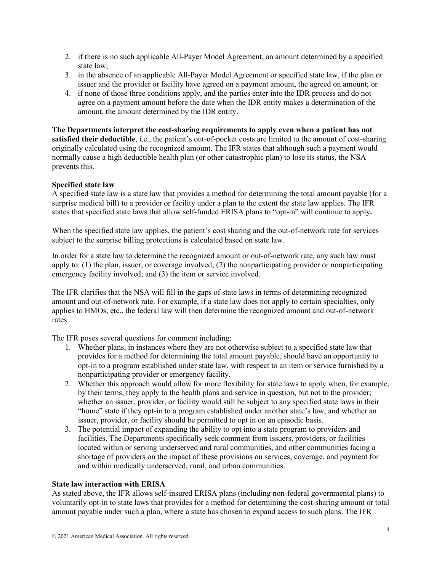- 2. if there is no such applicable All-Payer Model Agreement, an amount determined by a specified state law;
- 3. in the absence of an applicable All-Payer Model Agreement or specified state law, if the plan or issuer and the provider or facility have agreed on a payment amount, the agreed on amount; or
- 4. if none of those three conditions apply, and the parties enter into the IDR process and do not agree on a payment amount before the date when the IDR entity makes a determination of the amount, the amount determined by the IDR entity.

**The Departments interpret the cost-sharing requirements to apply even when a patient has not satisfied their deductible**, i.e., the patient's out-of-pocket costs are limited to the amount of cost-sharing originally calculated using the recognized amount. The IFR states that although such a payment would normally cause a high deductible health plan (or other catastrophic plan) to lose its status, the NSA prevents this.

# **Specified state law**

A specified state law is a state law that provides a method for determining the total amount payable (for a surprise medical bill) to a provider or facility under a plan to the extent the state law applies. The IFR states that specified state laws that allow self-funded ERISA plans to "opt-in" will continue to apply**.**

When the specified state law applies, the patient's cost sharing and the out-of-network rate for services subject to the surprise billing protections is calculated based on state law.

In order for a state law to determine the recognized amount or out-of-network rate, any such law must apply to: (1) the plan, issuer, or coverage involved; (2) the nonparticipating provider or nonparticipating emergency facility involved; and (3) the item or service involved.

The IFR clarifies that the NSA will fill in the gaps of state laws in terms of determining recognized amount and out-of-network rate. For example, if a state law does not apply to certain specialties, only applies to HMOs, etc., the federal law will then determine the recognized amount and out-of-network rates.

The IFR poses several questions for comment including:

- 1. Whether plans, in instances where they are not otherwise subject to a specified state law that provides for a method for determining the total amount payable, should have an opportunity to opt-in to a program established under state law, with respect to an item or service furnished by a nonparticipating provider or emergency facility.
- 2. Whether this approach would allow for more flexibility for state laws to apply when, for example, by their terms, they apply to the health plans and service in question, but not to the provider; whether an issuer, provider, or facility would still be subject to any specified state laws in their "home" state if they opt-in to a program established under another state's law; and whether an issuer, provider, or facility should be permitted to opt in on an episodic basis.
- 3. The potential impact of expanding the ability to opt into a state program to providers and facilities. The Departments specifically seek comment from issuers, providers, or facilities located within or serving underserved and rural communities, and other communities facing a shortage of providers on the impact of these provisions on services, coverage, and payment for and within medically underserved, rural, and urban communities.

## **State law interaction with ERISA**

As stated above, the IFR allows self-insured ERISA plans (including non-federal governmental plans) to voluntarily opt-in to state laws that provides for a method for determining the cost-sharing amount or total amount payable under such a plan, where a state has chosen to expand access to such plans. The IFR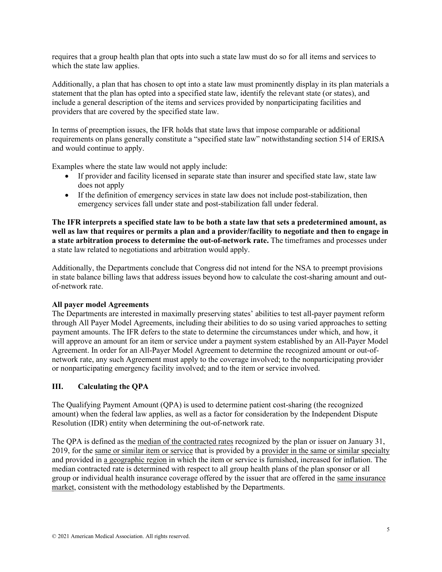requires that a group health plan that opts into such a state law must do so for all items and services to which the state law applies.

Additionally, a plan that has chosen to opt into a state law must prominently display in its plan materials a statement that the plan has opted into a specified state law, identify the relevant state (or states), and include a general description of the items and services provided by nonparticipating facilities and providers that are covered by the specified state law.

In terms of preemption issues, the IFR holds that state laws that impose comparable or additional requirements on plans generally constitute a "specified state law" notwithstanding section 514 of ERISA and would continue to apply.

Examples where the state law would not apply include:

- If provider and facility licensed in separate state than insurer and specified state law, state law does not apply
- If the definition of emergency services in state law does not include post-stabilization, then emergency services fall under state and post-stabilization fall under federal.

**The IFR interprets a specified state law to be both a state law that sets a predetermined amount, as well as law that requires or permits a plan and a provider/facility to negotiate and then to engage in a state arbitration process to determine the out-of-network rate.** The timeframes and processes under a state law related to negotiations and arbitration would apply.

Additionally, the Departments conclude that Congress did not intend for the NSA to preempt provisions in state balance billing laws that address issues beyond how to calculate the cost-sharing amount and outof-network rate.

## **All payer model Agreements**

The Departments are interested in maximally preserving states' abilities to test all-payer payment reform through All Payer Model Agreements, including their abilities to do so using varied approaches to setting payment amounts. The IFR defers to the state to determine the circumstances under which, and how, it will approve an amount for an item or service under a payment system established by an All-Payer Model Agreement. In order for an All-Payer Model Agreement to determine the recognized amount or out-ofnetwork rate, any such Agreement must apply to the coverage involved; to the nonparticipating provider or nonparticipating emergency facility involved; and to the item or service involved.

## **III. Calculating the QPA**

The Qualifying Payment Amount (QPA) is used to determine patient cost-sharing (the recognized amount) when the federal law applies, as well as a factor for consideration by the Independent Dispute Resolution (IDR) entity when determining the out-of-network rate.

The QPA is defined as the median of the contracted rates recognized by the plan or issuer on January 31, 2019, for the same or similar item or service that is provided by a provider in the same or similar specialty and provided in a geographic region in which the item or service is furnished, increased for inflation. The median contracted rate is determined with respect to all group health plans of the plan sponsor or all group or individual health insurance coverage offered by the issuer that are offered in the same insurance market, consistent with the methodology established by the Departments.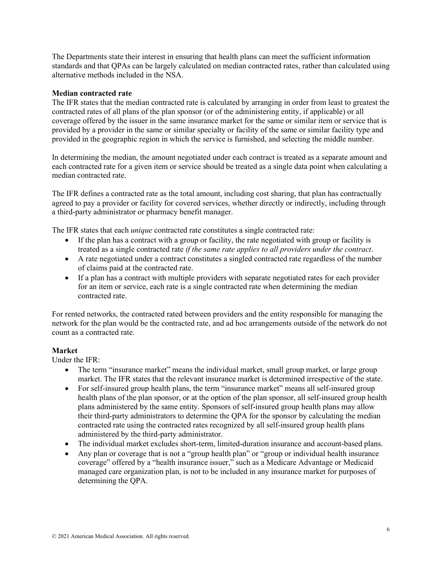The Departments state their interest in ensuring that health plans can meet the sufficient information standards and that QPAs can be largely calculated on median contracted rates, rather than calculated using alternative methods included in the NSA.

#### **Median contracted rate**

The IFR states that the median contracted rate is calculated by arranging in order from least to greatest the contracted rates of all plans of the plan sponsor (or of the administering entity, if applicable) or all coverage offered by the issuer in the same insurance market for the same or similar item or service that is provided by a provider in the same or similar specialty or facility of the same or similar facility type and provided in the geographic region in which the service is furnished, and selecting the middle number.

In determining the median, the amount negotiated under each contract is treated as a separate amount and each contracted rate for a given item or service should be treated as a single data point when calculating a median contracted rate.

The IFR defines a contracted rate as the total amount, including cost sharing, that plan has contractually agreed to pay a provider or facility for covered services, whether directly or indirectly, including through a third-party administrator or pharmacy benefit manager.

The IFR states that each *unique* contracted rate constitutes a single contracted rate:

- If the plan has a contract with a group or facility, the rate negotiated with group or facility is treated as a single contracted rate *if the same rate applies to all providers under the contract*.
- A rate negotiated under a contract constitutes a singled contracted rate regardless of the number of claims paid at the contracted rate.
- If a plan has a contract with multiple providers with separate negotiated rates for each provider for an item or service, each rate is a single contracted rate when determining the median contracted rate.

For rented networks, the contracted rated between providers and the entity responsible for managing the network for the plan would be the contracted rate, and ad hoc arrangements outside of the network do not count as a contracted rate.

## **Market**

Under the IFR:

- The term "insurance market" means the individual market, small group market, or large group market. The IFR states that the relevant insurance market is determined irrespective of the state.
- For self-insured group health plans, the term "insurance market" means all self-insured group health plans of the plan sponsor, or at the option of the plan sponsor, all self-insured group health plans administered by the same entity. Sponsors of self-insured group health plans may allow their third-party administrators to determine the QPA for the sponsor by calculating the median contracted rate using the contracted rates recognized by all self-insured group health plans administered by the third-party administrator.
- The individual market excludes short-term, limited-duration insurance and account-based plans.
- Any plan or coverage that is not a "group health plan" or "group or individual health insurance coverage" offered by a "health insurance issuer," such as a Medicare Advantage or Medicaid managed care organization plan, is not to be included in any insurance market for purposes of determining the QPA.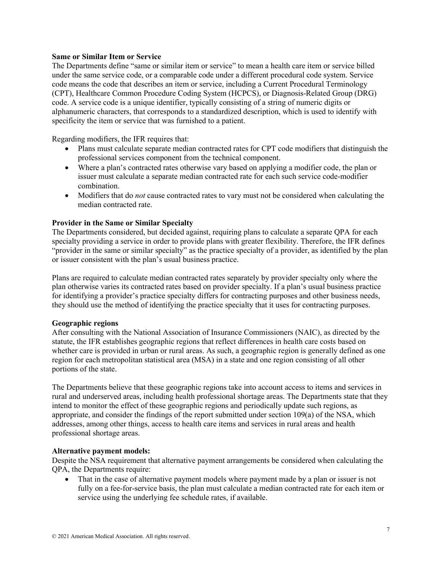#### **Same or Similar Item or Service**

The Departments define "same or similar item or service" to mean a health care item or service billed under the same service code, or a comparable code under a different procedural code system. Service code means the code that describes an item or service, including a Current Procedural Terminology (CPT), Healthcare Common Procedure Coding System (HCPCS), or Diagnosis-Related Group (DRG) code. A service code is a unique identifier, typically consisting of a string of numeric digits or alphanumeric characters, that corresponds to a standardized description, which is used to identify with specificity the item or service that was furnished to a patient.

Regarding modifiers, the IFR requires that:

- Plans must calculate separate median contracted rates for CPT code modifiers that distinguish the professional services component from the technical component.
- Where a plan's contracted rates otherwise vary based on applying a modifier code, the plan or issuer must calculate a separate median contracted rate for each such service code-modifier combination.
- Modifiers that do *not* cause contracted rates to vary must not be considered when calculating the median contracted rate.

#### **Provider in the Same or Similar Specialty**

The Departments considered, but decided against, requiring plans to calculate a separate QPA for each specialty providing a service in order to provide plans with greater flexibility. Therefore, the IFR defines "provider in the same or similar specialty" as the practice specialty of a provider, as identified by the plan or issuer consistent with the plan's usual business practice.

Plans are required to calculate median contracted rates separately by provider specialty only where the plan otherwise varies its contracted rates based on provider specialty. If a plan's usual business practice for identifying a provider's practice specialty differs for contracting purposes and other business needs, they should use the method of identifying the practice specialty that it uses for contracting purposes.

#### **Geographic regions**

After consulting with the National Association of Insurance Commissioners (NAIC), as directed by the statute, the IFR establishes geographic regions that reflect differences in health care costs based on whether care is provided in urban or rural areas. As such, a geographic region is generally defined as one region for each metropolitan statistical area (MSA) in a state and one region consisting of all other portions of the state.

The Departments believe that these geographic regions take into account access to items and services in rural and underserved areas, including health professional shortage areas. The Departments state that they intend to monitor the effect of these geographic regions and periodically update such regions, as appropriate, and consider the findings of the report submitted under section 109(a) of the NSA, which addresses, among other things, access to health care items and services in rural areas and health professional shortage areas.

#### **Alternative payment models:**

Despite the NSA requirement that alternative payment arrangements be considered when calculating the QPA, the Departments require:

That in the case of alternative payment models where payment made by a plan or issuer is not fully on a fee-for-service basis, the plan must calculate a median contracted rate for each item or service using the underlying fee schedule rates, if available.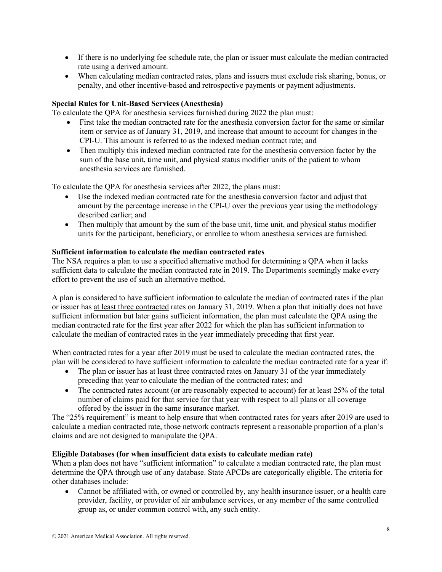- If there is no underlying fee schedule rate, the plan or issuer must calculate the median contracted rate using a derived amount.
- When calculating median contracted rates, plans and issuers must exclude risk sharing, bonus, or penalty, and other incentive-based and retrospective payments or payment adjustments.

## **Special Rules for Unit-Based Services (Anesthesia)**

To calculate the QPA for anesthesia services furnished during 2022 the plan must:

- First take the median contracted rate for the anesthesia conversion factor for the same or similar item or service as of January 31, 2019, and increase that amount to account for changes in the CPI-U. This amount is referred to as the indexed median contract rate; and
- Then multiply this indexed median contracted rate for the anesthesia conversion factor by the sum of the base unit, time unit, and physical status modifier units of the patient to whom anesthesia services are furnished.

To calculate the QPA for anesthesia services after 2022, the plans must:

- Use the indexed median contracted rate for the anesthesia conversion factor and adjust that amount by the percentage increase in the CPI-U over the previous year using the methodology described earlier; and
- Then multiply that amount by the sum of the base unit, time unit, and physical status modifier units for the participant, beneficiary, or enrollee to whom anesthesia services are furnished.

#### **Sufficient information to calculate the median contracted rates**

The NSA requires a plan to use a specified alternative method for determining a QPA when it lacks sufficient data to calculate the median contracted rate in 2019. The Departments seemingly make every effort to prevent the use of such an alternative method.

A plan is considered to have sufficient information to calculate the median of contracted rates if the plan or issuer has at least three contracted rates on January 31, 2019. When a plan that initially does not have sufficient information but later gains sufficient information, the plan must calculate the QPA using the median contracted rate for the first year after 2022 for which the plan has sufficient information to calculate the median of contracted rates in the year immediately preceding that first year.

When contracted rates for a year after 2019 must be used to calculate the median contracted rates, the plan will be considered to have sufficient information to calculate the median contracted rate for a year if:

- The plan or issuer has at least three contracted rates on January 31 of the year immediately preceding that year to calculate the median of the contracted rates; and
- The contracted rates account (or are reasonably expected to account) for at least 25% of the total number of claims paid for that service for that year with respect to all plans or all coverage offered by the issuer in the same insurance market.

The "25% requirement" is meant to help ensure that when contracted rates for years after 2019 are used to calculate a median contracted rate, those network contracts represent a reasonable proportion of a plan's claims and are not designed to manipulate the QPA.

#### **Eligible Databases (for when insufficient data exists to calculate median rate)**

When a plan does not have "sufficient information" to calculate a median contracted rate, the plan must determine the QPA through use of any database. State APCDs are categorically eligible. The criteria for other databases include:

• Cannot be affiliated with, or owned or controlled by, any health insurance issuer, or a health care provider, facility, or provider of air ambulance services, or any member of the same controlled group as, or under common control with, any such entity.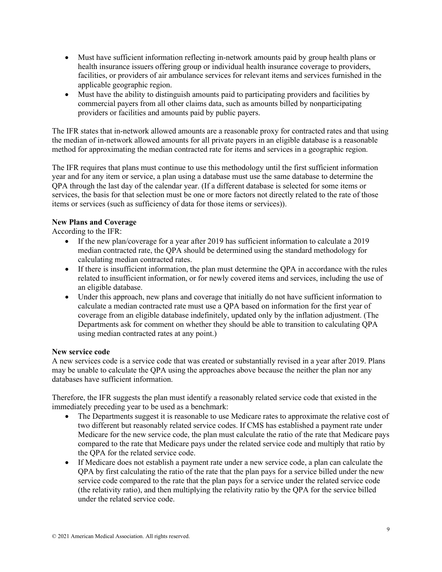- Must have sufficient information reflecting in-network amounts paid by group health plans or health insurance issuers offering group or individual health insurance coverage to providers, facilities, or providers of air ambulance services for relevant items and services furnished in the applicable geographic region.
- Must have the ability to distinguish amounts paid to participating providers and facilities by commercial payers from all other claims data, such as amounts billed by nonparticipating providers or facilities and amounts paid by public payers.

The IFR states that in-network allowed amounts are a reasonable proxy for contracted rates and that using the median of in-network allowed amounts for all private payers in an eligible database is a reasonable method for approximating the median contracted rate for items and services in a geographic region.

The IFR requires that plans must continue to use this methodology until the first sufficient information year and for any item or service, a plan using a database must use the same database to determine the QPA through the last day of the calendar year. (If a different database is selected for some items or services, the basis for that selection must be one or more factors not directly related to the rate of those items or services (such as sufficiency of data for those items or services)).

## **New Plans and Coverage**

According to the IFR:

- If the new plan/coverage for a year after 2019 has sufficient information to calculate a 2019 median contracted rate, the QPA should be determined using the standard methodology for calculating median contracted rates.
- If there is insufficient information, the plan must determine the QPA in accordance with the rules related to insufficient information, or for newly covered items and services, including the use of an eligible database.
- Under this approach, new plans and coverage that initially do not have sufficient information to calculate a median contracted rate must use a QPA based on information for the first year of coverage from an eligible database indefinitely, updated only by the inflation adjustment. (The Departments ask for comment on whether they should be able to transition to calculating QPA using median contracted rates at any point.)

## **New service code**

A new services code is a service code that was created or substantially revised in a year after 2019. Plans may be unable to calculate the QPA using the approaches above because the neither the plan nor any databases have sufficient information.

Therefore, the IFR suggests the plan must identify a reasonably related service code that existed in the immediately preceding year to be used as a benchmark:

- The Departments suggest it is reasonable to use Medicare rates to approximate the relative cost of two different but reasonably related service codes. If CMS has established a payment rate under Medicare for the new service code, the plan must calculate the ratio of the rate that Medicare pays compared to the rate that Medicare pays under the related service code and multiply that ratio by the QPA for the related service code.
- If Medicare does not establish a payment rate under a new service code, a plan can calculate the QPA by first calculating the ratio of the rate that the plan pays for a service billed under the new service code compared to the rate that the plan pays for a service under the related service code (the relativity ratio), and then multiplying the relativity ratio by the QPA for the service billed under the related service code.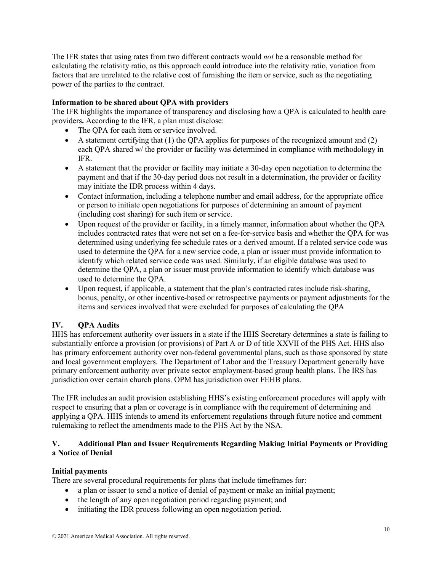The IFR states that using rates from two different contracts would *not* be a reasonable method for calculating the relativity ratio, as this approach could introduce into the relativity ratio, variation from factors that are unrelated to the relative cost of furnishing the item or service, such as the negotiating power of the parties to the contract.

## **Information to be shared about QPA with providers**

The IFR highlights the importance of transparency and disclosing how a QPA is calculated to health care providers**.** According to the IFR, a plan must disclose:

- The QPA for each item or service involved.
- A statement certifying that  $(1)$  the OPA applies for purposes of the recognized amount and  $(2)$ each QPA shared w/ the provider or facility was determined in compliance with methodology in IFR.
- A statement that the provider or facility may initiate a 30-day open negotiation to determine the payment and that if the 30-day period does not result in a determination, the provider or facility may initiate the IDR process within 4 days.
- Contact information, including a telephone number and email address, for the appropriate office or person to initiate open negotiations for purposes of determining an amount of payment (including cost sharing) for such item or service.
- Upon request of the provider or facility, in a timely manner, information about whether the QPA includes contracted rates that were not set on a fee-for-service basis and whether the QPA for was determined using underlying fee schedule rates or a derived amount. If a related service code was used to determine the QPA for a new service code, a plan or issuer must provide information to identify which related service code was used. Similarly, if an eligible database was used to determine the QPA, a plan or issuer must provide information to identify which database was used to determine the QPA.
- Upon request, if applicable, a statement that the plan's contracted rates include risk-sharing, bonus, penalty, or other incentive-based or retrospective payments or payment adjustments for the items and services involved that were excluded for purposes of calculating the QPA

# **IV. QPA Audits**

HHS has enforcement authority over issuers in a state if the HHS Secretary determines a state is failing to substantially enforce a provision (or provisions) of Part A or D of title XXVII of the PHS Act. HHS also has primary enforcement authority over non-federal governmental plans, such as those sponsored by state and local government employers. The Department of Labor and the Treasury Department generally have primary enforcement authority over private sector employment-based group health plans. The IRS has jurisdiction over certain church plans. OPM has jurisdiction over FEHB plans.

The IFR includes an audit provision establishing HHS's existing enforcement procedures will apply with respect to ensuring that a plan or coverage is in compliance with the requirement of determining and applying a QPA. HHS intends to amend its enforcement regulations through future notice and comment rulemaking to reflect the amendments made to the PHS Act by the NSA.

# **V. Additional Plan and Issuer Requirements Regarding Making Initial Payments or Providing a Notice of Denial**

## **Initial payments**

There are several procedural requirements for plans that include timeframes for:

- a plan or issuer to send a notice of denial of payment or make an initial payment;
- the length of any open negotiation period regarding payment; and
- initiating the IDR process following an open negotiation period.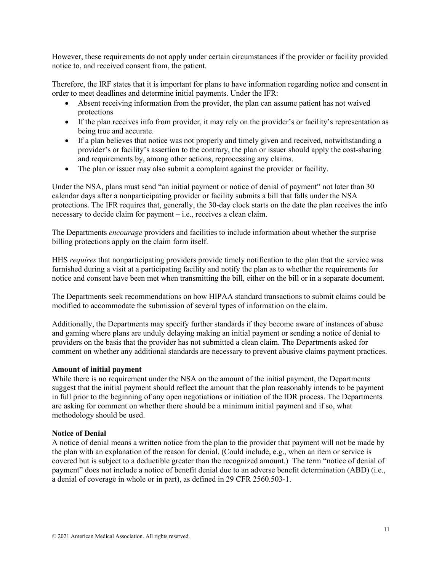However, these requirements do not apply under certain circumstances if the provider or facility provided notice to, and received consent from, the patient.

Therefore, the IRF states that it is important for plans to have information regarding notice and consent in order to meet deadlines and determine initial payments. Under the IFR:

- Absent receiving information from the provider, the plan can assume patient has not waived protections
- If the plan receives info from provider, it may rely on the provider's or facility's representation as being true and accurate.
- If a plan believes that notice was not properly and timely given and received, notwithstanding a provider's or facility's assertion to the contrary, the plan or issuer should apply the cost-sharing and requirements by, among other actions, reprocessing any claims.
- The plan or issuer may also submit a complaint against the provider or facility.

Under the NSA, plans must send "an initial payment or notice of denial of payment" not later than 30 calendar days after a nonparticipating provider or facility submits a bill that falls under the NSA protections. The IFR requires that, generally, the 30-day clock starts on the date the plan receives the info necessary to decide claim for payment – i.e., receives a clean claim.

The Departments *encourage* providers and facilities to include information about whether the surprise billing protections apply on the claim form itself.

HHS *requires* that nonparticipating providers provide timely notification to the plan that the service was furnished during a visit at a participating facility and notify the plan as to whether the requirements for notice and consent have been met when transmitting the bill, either on the bill or in a separate document.

The Departments seek recommendations on how HIPAA standard transactions to submit claims could be modified to accommodate the submission of several types of information on the claim.

Additionally, the Departments may specify further standards if they become aware of instances of abuse and gaming where plans are unduly delaying making an initial payment or sending a notice of denial to providers on the basis that the provider has not submitted a clean claim. The Departments asked for comment on whether any additional standards are necessary to prevent abusive claims payment practices.

## **Amount of initial payment**

While there is no requirement under the NSA on the amount of the initial payment, the Departments suggest that the initial payment should reflect the amount that the plan reasonably intends to be payment in full prior to the beginning of any open negotiations or initiation of the IDR process. The Departments are asking for comment on whether there should be a minimum initial payment and if so, what methodology should be used.

#### **Notice of Denial**

A notice of denial means a written notice from the plan to the provider that payment will not be made by the plan with an explanation of the reason for denial. (Could include, e.g., when an item or service is covered but is subject to a deductible greater than the recognized amount.) The term "notice of denial of payment" does not include a notice of benefit denial due to an adverse benefit determination (ABD) (i.e., a denial of coverage in whole or in part), as defined in 29 CFR 2560.503-1.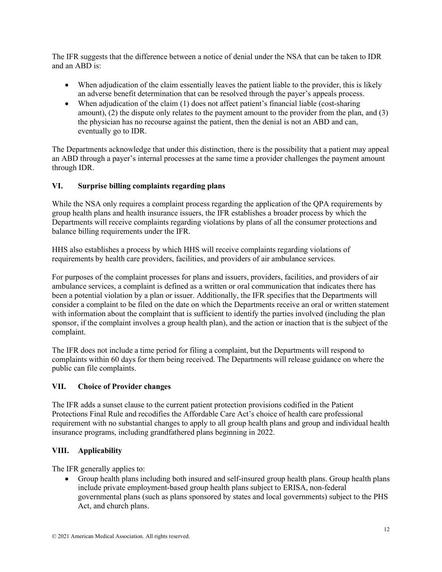The IFR suggests that the difference between a notice of denial under the NSA that can be taken to IDR and an ABD is:

- When adjudication of the claim essentially leaves the patient liable to the provider, this is likely an adverse benefit determination that can be resolved through the payer's appeals process.
- When adjudication of the claim (1) does not affect patient's financial liable (cost-sharing amount), (2) the dispute only relates to the payment amount to the provider from the plan, and (3) the physician has no recourse against the patient, then the denial is not an ABD and can, eventually go to IDR.

The Departments acknowledge that under this distinction, there is the possibility that a patient may appeal an ABD through a payer's internal processes at the same time a provider challenges the payment amount through IDR.

# **VI. Surprise billing complaints regarding plans**

While the NSA only requires a complaint process regarding the application of the OPA requirements by group health plans and health insurance issuers, the IFR establishes a broader process by which the Departments will receive complaints regarding violations by plans of all the consumer protections and balance billing requirements under the IFR.

HHS also establishes a process by which HHS will receive complaints regarding violations of requirements by health care providers, facilities, and providers of air ambulance services.

For purposes of the complaint processes for plans and issuers, providers, facilities, and providers of air ambulance services, a complaint is defined as a written or oral communication that indicates there has been a potential violation by a plan or issuer. Additionally, the IFR specifies that the Departments will consider a complaint to be filed on the date on which the Departments receive an oral or written statement with information about the complaint that is sufficient to identify the parties involved (including the plan sponsor, if the complaint involves a group health plan), and the action or inaction that is the subject of the complaint.

The IFR does not include a time period for filing a complaint, but the Departments will respond to complaints within 60 days for them being received. The Departments will release guidance on where the public can file complaints.

## **VII. Choice of Provider changes**

The IFR adds a sunset clause to the current patient protection provisions codified in the Patient Protections Final Rule and recodifies the Affordable Care Act's choice of health care professional requirement with no substantial changes to apply to all group health plans and group and individual health insurance programs, including grandfathered plans beginning in 2022.

# **VIII. Applicability**

The IFR generally applies to:

• Group health plans including both insured and self-insured group health plans. Group health plans include private employment-based group health plans subject to ERISA, non-federal governmental plans (such as plans sponsored by states and local governments) subject to the PHS Act, and church plans.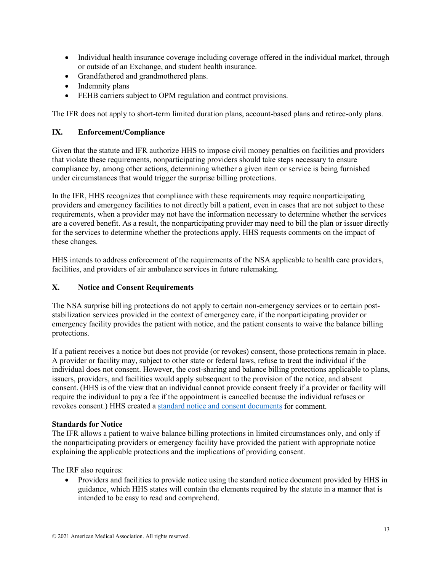- Individual health insurance coverage including coverage offered in the individual market, through or outside of an Exchange, and student health insurance.
- Grandfathered and grandmothered plans.
- Indemnity plans
- FEHB carriers subject to OPM regulation and contract provisions.

The IFR does not apply to short-term limited duration plans, account-based plans and retiree-only plans.

## **IX. Enforcement/Compliance**

Given that the statute and IFR authorize HHS to impose civil money penalties on facilities and providers that violate these requirements, nonparticipating providers should take steps necessary to ensure compliance by, among other actions, determining whether a given item or service is being furnished under circumstances that would trigger the surprise billing protections.

In the IFR, HHS recognizes that compliance with these requirements may require nonparticipating providers and emergency facilities to not directly bill a patient, even in cases that are not subject to these requirements, when a provider may not have the information necessary to determine whether the services are a covered benefit. As a result, the nonparticipating provider may need to bill the plan or issuer directly for the services to determine whether the protections apply. HHS requests comments on the impact of these changes.

HHS intends to address enforcement of the requirements of the NSA applicable to health care providers, facilities, and providers of air ambulance services in future rulemaking.

# **X. Notice and Consent Requirements**

The NSA surprise billing protections do not apply to certain non-emergency services or to certain poststabilization services provided in the context of emergency care, if the nonparticipating provider or emergency facility provides the patient with notice, and the patient consents to waive the balance billing protections.

If a patient receives a notice but does not provide (or revokes) consent, those protections remain in place. A provider or facility may, subject to other state or federal laws, refuse to treat the individual if the individual does not consent. However, the cost-sharing and balance billing protections applicable to plans, issuers, providers, and facilities would apply subsequent to the provision of the notice, and absent consent. (HHS is of the view that an individual cannot provide consent freely if a provider or facility will require the individual to pay a fee if the appointment is cancelled because the individual refuses or revokes consent.) HHS created a [standard notice and consent documents](https://www.cms.gov/httpswwwcmsgovregulations-and-guidancelegislationpaperworkreductionactof1995pra-listing/cms-10780) for comment.

## **Standards for Notice**

The IFR allows a patient to waive balance billing protections in limited circumstances only, and only if the nonparticipating providers or emergency facility have provided the patient with appropriate notice explaining the applicable protections and the implications of providing consent.

The IRF also requires:

• Providers and facilities to provide notice using the standard notice document provided by HHS in guidance, which HHS states will contain the elements required by the statute in a manner that is intended to be easy to read and comprehend.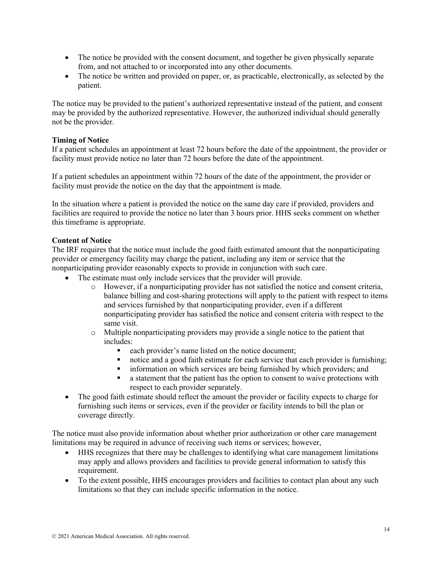- The notice be provided with the consent document, and together be given physically separate from, and not attached to or incorporated into any other documents.
- The notice be written and provided on paper, or, as practicable, electronically, as selected by the patient.

The notice may be provided to the patient's authorized representative instead of the patient, and consent may be provided by the authorized representative. However, the authorized individual should generally not be the provider.

### **Timing of Notice**

If a patient schedules an appointment at least 72 hours before the date of the appointment, the provider or facility must provide notice no later than 72 hours before the date of the appointment.

If a patient schedules an appointment within 72 hours of the date of the appointment, the provider or facility must provide the notice on the day that the appointment is made.

In the situation where a patient is provided the notice on the same day care if provided, providers and facilities are required to provide the notice no later than 3 hours prior. HHS seeks comment on whether this timeframe is appropriate.

#### **Content of Notice**

The IRF requires that the notice must include the good faith estimated amount that the nonparticipating provider or emergency facility may charge the patient, including any item or service that the nonparticipating provider reasonably expects to provide in conjunction with such care.

- The estimate must only include services that the provider will provide.
	- o However, if a nonparticipating provider has not satisfied the notice and consent criteria, balance billing and cost-sharing protections will apply to the patient with respect to items and services furnished by that nonparticipating provider, even if a different nonparticipating provider has satisfied the notice and consent criteria with respect to the same visit.
	- o Multiple nonparticipating providers may provide a single notice to the patient that includes:
		- each provider's name listed on the notice document;<br>■ notice and a good faith estimate for each service that
		- notice and a good faith estimate for each service that each provider is furnishing;
		- information on which services are being furnished by which providers; and
		- a statement that the patient has the option to consent to waive protections with respect to each provider separately.
- The good faith estimate should reflect the amount the provider or facility expects to charge for furnishing such items or services, even if the provider or facility intends to bill the plan or coverage directly.

The notice must also provide information about whether prior authorization or other care management limitations may be required in advance of receiving such items or services; however,

- HHS recognizes that there may be challenges to identifying what care management limitations may apply and allows providers and facilities to provide general information to satisfy this requirement.
- To the extent possible, HHS encourages providers and facilities to contact plan about any such limitations so that they can include specific information in the notice.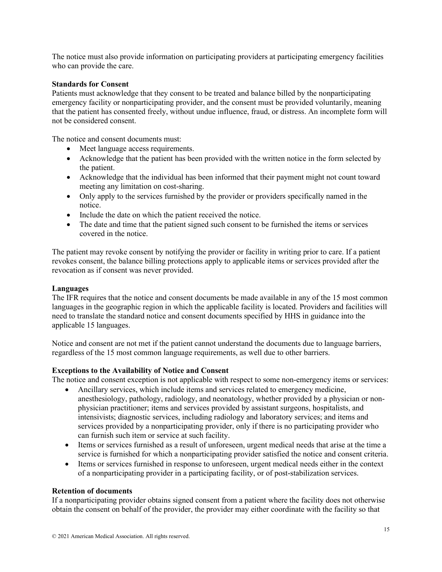The notice must also provide information on participating providers at participating emergency facilities who can provide the care.

#### **Standards for Consent**

Patients must acknowledge that they consent to be treated and balance billed by the nonparticipating emergency facility or nonparticipating provider, and the consent must be provided voluntarily, meaning that the patient has consented freely, without undue influence, fraud, or distress. An incomplete form will not be considered consent.

The notice and consent documents must:

- Meet language access requirements.
- Acknowledge that the patient has been provided with the written notice in the form selected by the patient.
- Acknowledge that the individual has been informed that their payment might not count toward meeting any limitation on cost-sharing.
- Only apply to the services furnished by the provider or providers specifically named in the notice.
- Include the date on which the patient received the notice.
- The date and time that the patient signed such consent to be furnished the items or services covered in the notice.

The patient may revoke consent by notifying the provider or facility in writing prior to care. If a patient revokes consent, the balance billing protections apply to applicable items or services provided after the revocation as if consent was never provided.

#### **Languages**

The IFR requires that the notice and consent documents be made available in any of the 15 most common languages in the geographic region in which the applicable facility is located. Providers and facilities will need to translate the standard notice and consent documents specified by HHS in guidance into the applicable 15 languages.

Notice and consent are not met if the patient cannot understand the documents due to language barriers, regardless of the 15 most common language requirements, as well due to other barriers.

#### **Exceptions to the Availability of Notice and Consent**

The notice and consent exception is not applicable with respect to some non-emergency items or services:

- Ancillary services, which include items and services related to emergency medicine, anesthesiology, pathology, radiology, and neonatology, whether provided by a physician or nonphysician practitioner; items and services provided by assistant surgeons, hospitalists, and intensivists; diagnostic services, including radiology and laboratory services; and items and services provided by a nonparticipating provider, only if there is no participating provider who can furnish such item or service at such facility.
- Items or services furnished as a result of unforeseen, urgent medical needs that arise at the time a service is furnished for which a nonparticipating provider satisfied the notice and consent criteria.
- Items or services furnished in response to unforeseen, urgent medical needs either in the context of a nonparticipating provider in a participating facility, or of post-stabilization services.

#### **Retention of documents**

If a nonparticipating provider obtains signed consent from a patient where the facility does not otherwise obtain the consent on behalf of the provider, the provider may either coordinate with the facility so that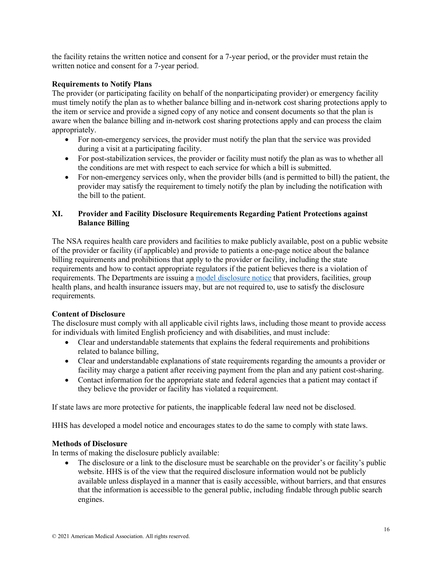the facility retains the written notice and consent for a 7-year period, or the provider must retain the written notice and consent for a 7-year period.

## **Requirements to Notify Plans**

The provider (or participating facility on behalf of the nonparticipating provider) or emergency facility must timely notify the plan as to whether balance billing and in-network cost sharing protections apply to the item or service and provide a signed copy of any notice and consent documents so that the plan is aware when the balance billing and in-network cost sharing protections apply and can process the claim appropriately.

- For non-emergency services, the provider must notify the plan that the service was provided during a visit at a participating facility.
- For post-stabilization services, the provider or facility must notify the plan as was to whether all the conditions are met with respect to each service for which a bill is submitted.
- For non-emergency services only, when the provider bills (and is permitted to bill) the patient, the provider may satisfy the requirement to timely notify the plan by including the notification with the bill to the patient.

## **XI. Provider and Facility Disclosure Requirements Regarding Patient Protections against Balance Billing**

The NSA requires health care providers and facilities to make publicly available, post on a public website of the provider or facility (if applicable) and provide to patients a one-page notice about the balance billing requirements and prohibitions that apply to the provider or facility, including the state requirements and how to contact appropriate regulators if the patient believes there is a violation of requirements. The Departments are issuing a model [disclosure notice](https://www.cms.gov/httpswwwcmsgovregulations-and-guidancelegislationpaperworkreductionactof1995pra-listing/cms-10780) that providers, facilities, group health plans, and health insurance issuers may, but are not required to, use to satisfy the disclosure requirements.

## **Content of Disclosure**

The disclosure must comply with all applicable civil rights laws, including those meant to provide access for individuals with limited English proficiency and with disabilities, and must include:

- Clear and understandable statements that explains the federal requirements and prohibitions related to balance billing,
- Clear and understandable explanations of state requirements regarding the amounts a provider or facility may charge a patient after receiving payment from the plan and any patient cost-sharing.
- Contact information for the appropriate state and federal agencies that a patient may contact if they believe the provider or facility has violated a requirement.

If state laws are more protective for patients, the inapplicable federal law need not be disclosed.

HHS has developed a model notice and encourages states to do the same to comply with state laws.

## **Methods of Disclosure**

In terms of making the disclosure publicly available:

• The disclosure or a link to the disclosure must be searchable on the provider's or facility's public website. HHS is of the view that the required disclosure information would not be publicly available unless displayed in a manner that is easily accessible, without barriers, and that ensures that the information is accessible to the general public, including findable through public search engines.